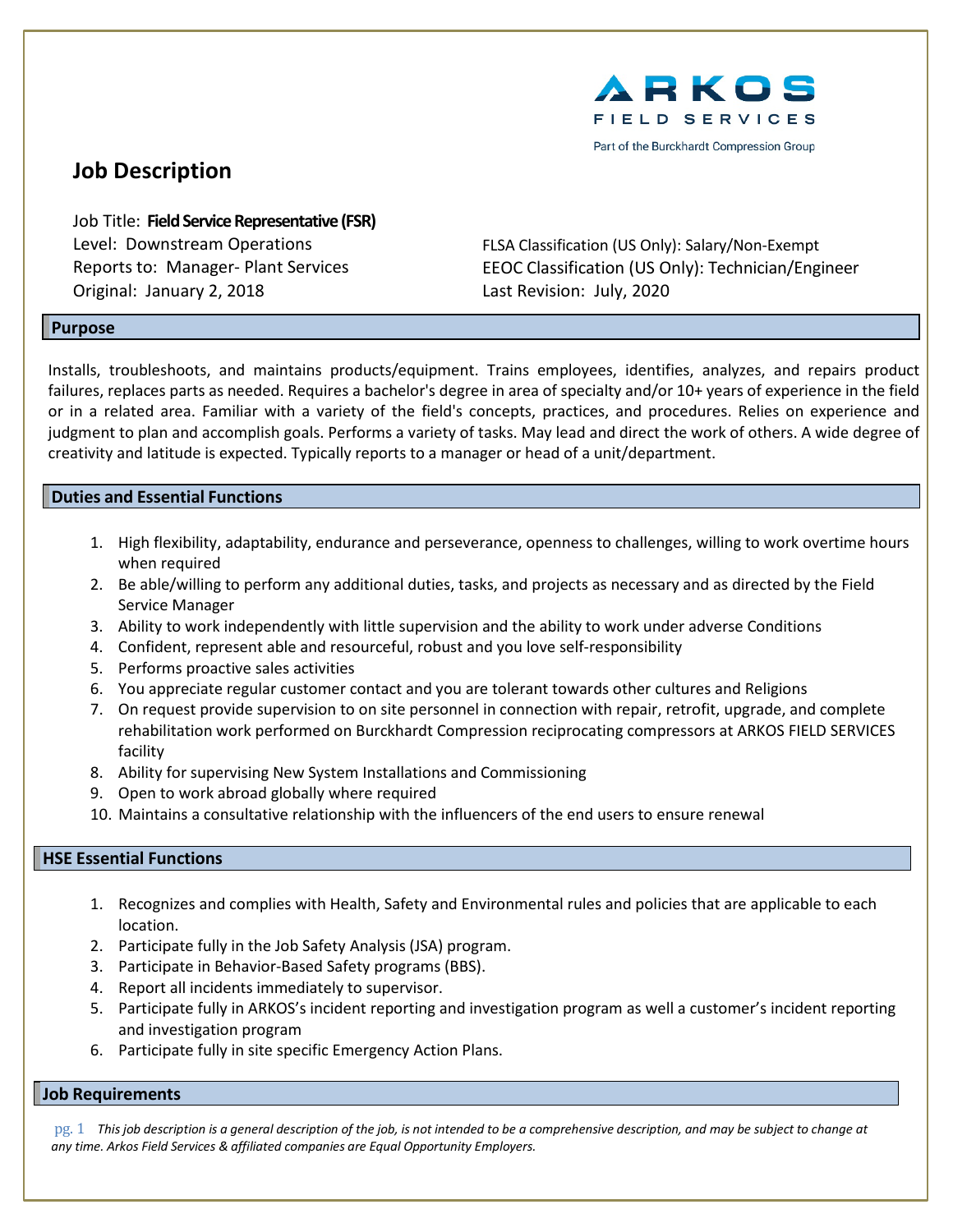

Part of the Burckhardt Compression Group

# **Job Description**

Job Title: **Field Service Representative(FSR)** Original: January 2, 2018 Last Revision: July, 2020

Level: Downstream Operations FLSA Classification (US Only): Salary/Non-Exempt Reports to: Manager- Plant Services EEOC Classification (US Only): Technician/Engineer

### **Purpose**

Installs, troubleshoots, and maintains products/equipment. Trains employees, identifies, analyzes, and repairs product failures, replaces parts as needed. Requires a bachelor's degree in area of specialty and/or 10+ years of experience in the field or in a related area. Familiar with a variety of the field's concepts, practices, and procedures. Relies on experience and judgment to plan and accomplish goals. Performs a variety of tasks. May lead and direct the work of others. A wide degree of creativity and latitude is expected. Typically reports to a manager or head of a unit/department.

### **Duties and Essential Functions**

- 1. High flexibility, adaptability, endurance and perseverance, openness to challenges, willing to work overtime hours when required
- 2. Be able/willing to perform any additional duties, tasks, and projects as necessary and as directed by the Field Service Manager
- 3. Ability to work independently with little supervision and the ability to work under adverse Conditions
- 4. Confident, represent able and resourceful, robust and you love self-responsibility
- 5. Performs proactive sales activities
- 6. You appreciate regular customer contact and you are tolerant towards other cultures and Religions
- 7. On request provide supervision to on site personnel in connection with repair, retrofit, upgrade, and complete rehabilitation work performed on Burckhardt Compression reciprocating compressors at ARKOS FIELD SERVICES facility
- 8. Ability for supervising New System Installations and Commissioning
- 9. Open to work abroad globally where required
- 10. Maintains a consultative relationship with the influencers of the end users to ensure renewal

### **HSE Essential Functions**

- 1. Recognizes and complies with Health, Safety and Environmental rules and policies that are applicable to each location.
- 2. Participate fully in the Job Safety Analysis (JSA) program.
- 3. Participate in Behavior-Based Safety programs (BBS).
- 4. Report all incidents immediately to supervisor.
- 5. Participate fully in ARKOS's incident reporting and investigation program as well a customer's incident reporting and investigation program
- 6. Participate fully in site specific Emergency Action Plans.

#### **Job Requirements**

pg. 1 This job description is a general description of the job, is not intended to be a comprehensive description, and may be subject to change at *any time. Arkos Field Services & affiliated companies are Equal Opportunity Employers.*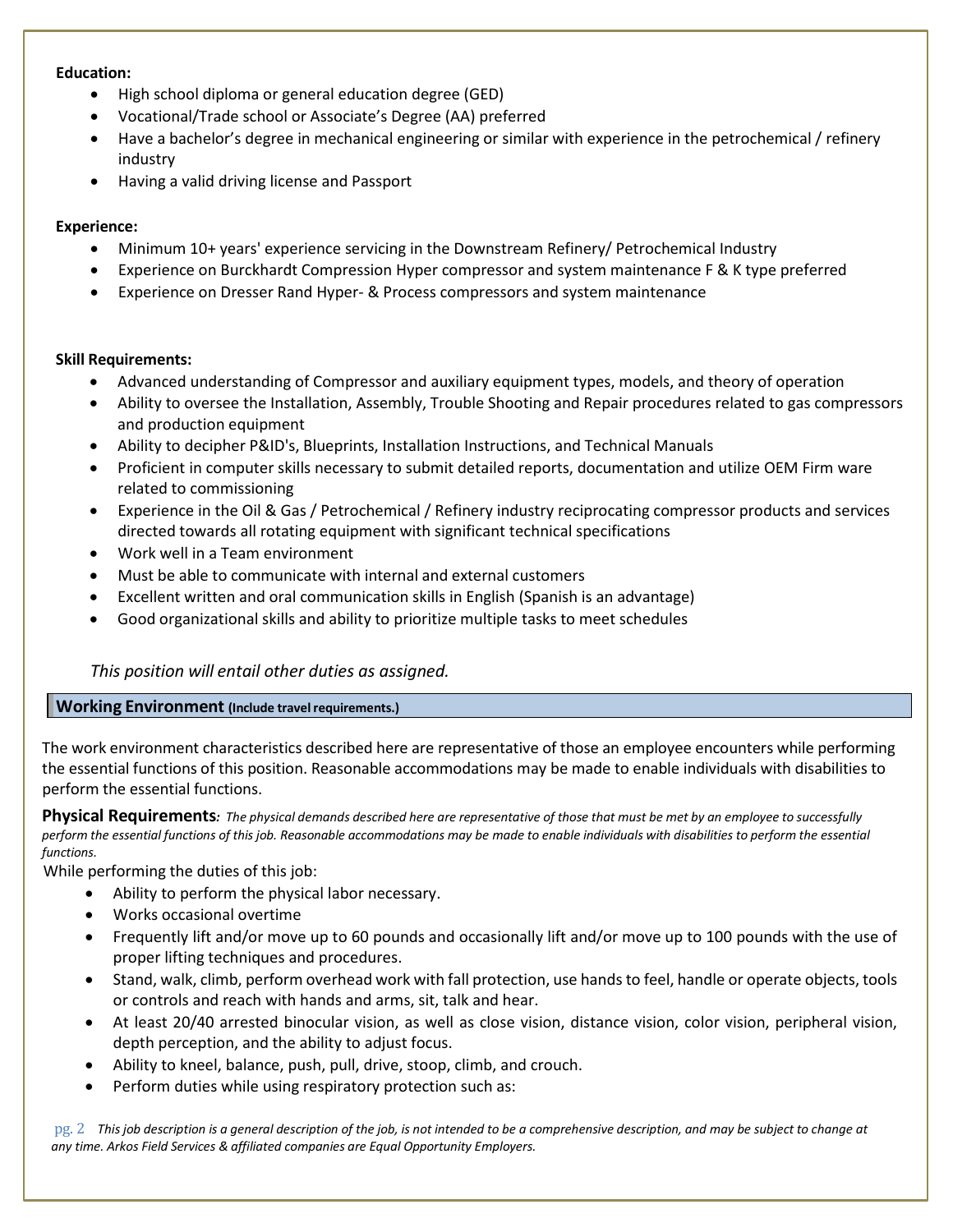### **Education:**

- High school diploma or general education degree (GED)
- Vocational/Trade school or Associate's Degree (AA) preferred
- Have a bachelor's degree in mechanical engineering or similar with experience in the petrochemical / refinery industry
- Having a valid driving license and Passport

### **Experience:**

- Minimum 10+ years' experience servicing in the Downstream Refinery/ Petrochemical Industry
- Experience on Burckhardt Compression Hyper compressor and system maintenance F & K type preferred
- Experience on Dresser Rand Hyper- & Process compressors and system maintenance

### **Skill Requirements:**

- Advanced understanding of Compressor and auxiliary equipment types, models, and theory of operation
- Ability to oversee the Installation, Assembly, Trouble Shooting and Repair procedures related to gas compressors and production equipment
- Ability to decipher P&ID's, Blueprints, Installation Instructions, and Technical Manuals
- Proficient in computer skills necessary to submit detailed reports, documentation and utilize OEM Firm ware related to commissioning
- Experience in the Oil & Gas / Petrochemical / Refinery industry reciprocating compressor products and services directed towards all rotating equipment with significant technical specifications
- Work well in a Team environment
- Must be able to communicate with internal and external customers
- Excellent written and oral communication skills in English (Spanish is an advantage)
- Good organizational skills and ability to prioritize multiple tasks to meet schedules

## *This position will entail other duties as assigned.*

### **Working Environment** (Include travel requirements.)

The work environment characteristics described here are representative of those an employee encounters while performing the essential functions of this position. Reasonable accommodations may be made to enable individuals with disabilities to perform the essential functions.

Physical Requirements: The physical demands described here are representative of those that must be met by an employee to successfully perform the essential functions of this job. Reasonable accommodations may be made to enable individuals with disabilities to perform the essential *functions.*

While performing the duties of this job:

- Ability to perform the physical labor necessary.
- Works occasional overtime
- Frequently lift and/or move up to 60 pounds and occasionally lift and/or move up to 100 pounds with the use of proper lifting techniques and procedures.
- Stand, walk, climb, perform overhead work with fall protection, use hands to feel, handle or operate objects, tools or controls and reach with hands and arms, sit, talk and hear.
- At least 20/40 arrested binocular vision, as well as close vision, distance vision, color vision, peripheral vision, depth perception, and the ability to adjust focus.
- Ability to kneel, balance, push, pull, drive, stoop, climb, and crouch.
- Perform duties while using respiratory protection such as:

pg. 2 This job description is a general description of the job, is not intended to be a comprehensive description, and may be subject to change at *any time. Arkos Field Services & affiliated companies are Equal Opportunity Employers.*